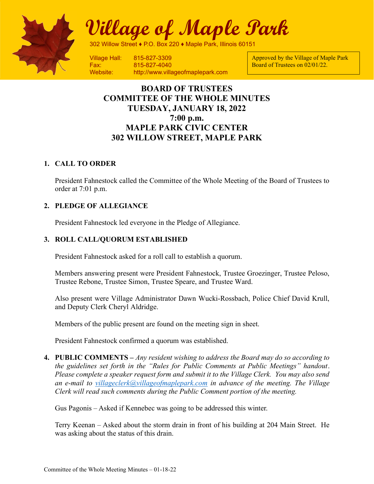

# Village of Maple Park

302 Willow Street ♦ P.O. Box 220 ♦ Maple Park, Illinois 60151

Fax: 815-827-4040 Website: http://www.villageofmaplepark.com

Approved by the Village of Maple Park Board of Trustees on 02/01/22.

# BOARD OF TRUSTEES COMMITTEE OF THE WHOLE MINUTES TUESDAY, JANUARY 18, 2022 7:00 p.m. MAPLE PARK CIVIC CENTER 302 WILLOW STREET, MAPLE PARK

# 1. CALL TO ORDER

President Fahnestock called the Committee of the Whole Meeting of the Board of Trustees to order at 7:01 p.m.

# 2. PLEDGE OF ALLEGIANCE

President Fahnestock led everyone in the Pledge of Allegiance.

# 3. ROLL CALL/QUORUM ESTABLISHED

President Fahnestock asked for a roll call to establish a quorum.

Members answering present were President Fahnestock, Trustee Groezinger, Trustee Peloso, Trustee Rebone, Trustee Simon, Trustee Speare, and Trustee Ward.

Also present were Village Administrator Dawn Wucki-Rossbach, Police Chief David Krull, and Deputy Clerk Cheryl Aldridge.

Members of the public present are found on the meeting sign in sheet.

President Fahnestock confirmed a quorum was established.

4. PUBLIC COMMENTS – Any resident wishing to address the Board may do so according to the guidelines set forth in the "Rules for Public Comments at Public Meetings" handout. Please complete a speaker request form and submit it to the Village Clerk. You may also send an e-mail to villageclerk@villageofmaplepark.com in advance of the meeting. The Village Clerk will read such comments during the Public Comment portion of the meeting.

Gus Pagonis – Asked if Kennebec was going to be addressed this winter.

Terry Keenan – Asked about the storm drain in front of his building at 204 Main Street. He was asking about the status of this drain.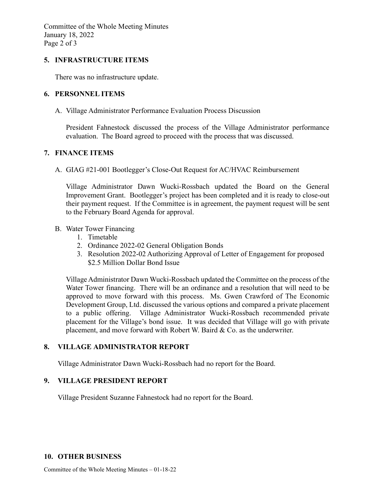Committee of the Whole Meeting Minutes January 18, 2022 Page 2 of 3

#### 5. INFRASTRUCTURE ITEMS

There was no infrastructure update.

# 6. PERSONNEL ITEMS

A. Village Administrator Performance Evaluation Process Discussion

President Fahnestock discussed the process of the Village Administrator performance evaluation. The Board agreed to proceed with the process that was discussed.

# 7. FINANCE ITEMS

A. GIAG #21-001 Bootlegger's Close-Out Request for AC/HVAC Reimbursement

Village Administrator Dawn Wucki-Rossbach updated the Board on the General Improvement Grant. Bootlegger's project has been completed and it is ready to close-out their payment request. If the Committee is in agreement, the payment request will be sent to the February Board Agenda for approval.

# B. Water Tower Financing

- 1. Timetable
- 2. Ordinance 2022-02 General Obligation Bonds
- 3. Resolution 2022-02 Authorizing Approval of Letter of Engagement for proposed \$2.5 Million Dollar Bond Issue

Village Administrator Dawn Wucki-Rossbach updated the Committee on the process of the Water Tower financing. There will be an ordinance and a resolution that will need to be approved to move forward with this process. Ms. Gwen Crawford of The Economic Development Group, Ltd. discussed the various options and compared a private placement to a public offering. Village Administrator Wucki-Rossbach recommended private placement for the Village's bond issue. It was decided that Village will go with private placement, and move forward with Robert W. Baird & Co. as the underwriter.

# 8. VILLAGE ADMINISTRATOR REPORT

Village Administrator Dawn Wucki-Rossbach had no report for the Board.

# 9. VILLAGE PRESIDENT REPORT

Village President Suzanne Fahnestock had no report for the Board.

#### 10. OTHER BUSINESS